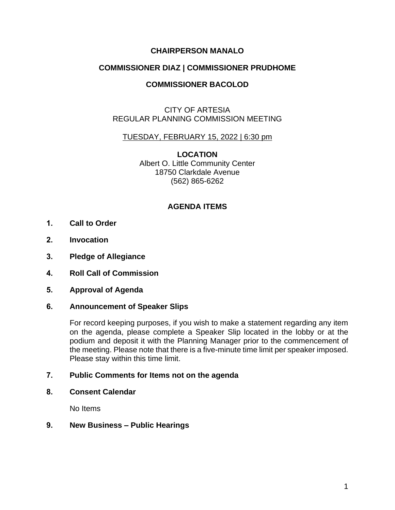# **CHAIRPERSON MANALO**

## **COMMISSIONER DIAZ | COMMISSIONER PRUDHOME**

# **COMMISSIONER BACOLOD**

## CITY OF ARTESIA REGULAR PLANNING COMMISSION MEETING

### TUESDAY, FEBRUARY 15, 2022 | 6:30 pm

**LOCATION** Albert O. Little Community Center 18750 Clarkdale Avenue (562) 865-6262

## **AGENDA ITEMS**

- **1. Call to Order**
- **2. Invocation**
- **3. Pledge of Allegiance**
- **4. Roll Call of Commission**
- **5. Approval of Agenda**

#### **6. Announcement of Speaker Slips**

For record keeping purposes, if you wish to make a statement regarding any item on the agenda, please complete a Speaker Slip located in the lobby or at the podium and deposit it with the Planning Manager prior to the commencement of the meeting. Please note that there is a five-minute time limit per speaker imposed. Please stay within this time limit.

#### **7. Public Comments for Items not on the agenda**

**8. Consent Calendar**

No Items

### **9. New Business – Public Hearings**